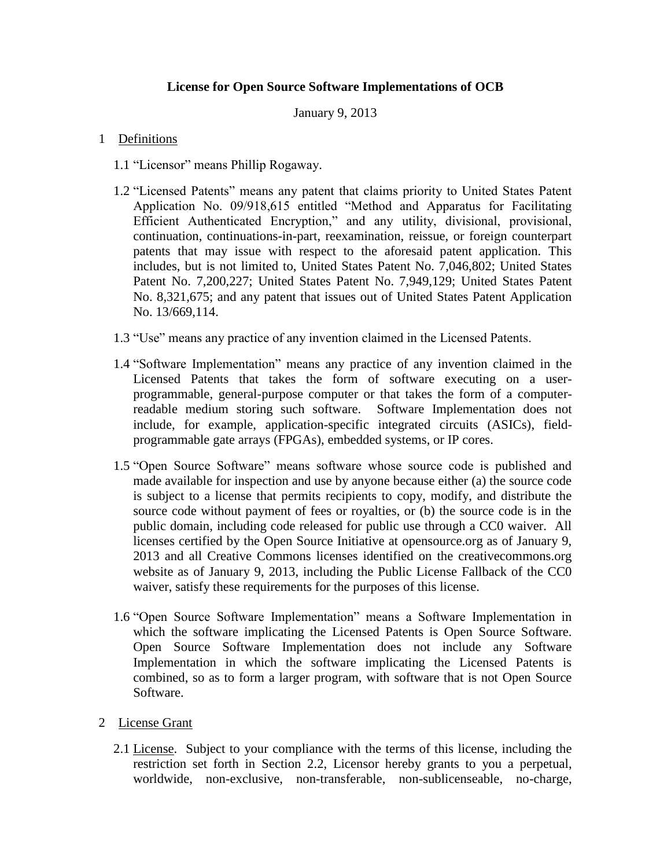## **License for Open Source Software Implementations of OCB**

January 9, 2013

## 1 Definitions

- 1.1 "Licensor" means Phillip Rogaway.
- 1.2 "Licensed Patents" means any patent that claims priority to United States Patent Application No. 09/918,615 entitled "Method and Apparatus for Facilitating Efficient Authenticated Encryption," and any utility, divisional, provisional, continuation, continuations-in-part, reexamination, reissue, or foreign counterpart patents that may issue with respect to the aforesaid patent application. This includes, but is not limited to, United States Patent No. 7,046,802; United States Patent No. 7,200,227; United States Patent No. 7,949,129; United States Patent No. 8,321,675; and any patent that issues out of United States Patent Application No. 13/669,114.
- 1.3 "Use" means any practice of any invention claimed in the Licensed Patents.
- 1.4 "Software Implementation" means any practice of any invention claimed in the Licensed Patents that takes the form of software executing on a userprogrammable, general-purpose computer or that takes the form of a computerreadable medium storing such software. Software Implementation does not include, for example, application-specific integrated circuits (ASICs), fieldprogrammable gate arrays (FPGAs), embedded systems, or IP cores.
- 1.5 "Open Source Software" means software whose source code is published and made available for inspection and use by anyone because either (a) the source code is subject to a license that permits recipients to copy, modify, and distribute the source code without payment of fees or royalties, or (b) the source code is in the public domain, including code released for public use through a CC0 waiver. All licenses certified by the Open Source Initiative at opensource.org as of January 9, 2013 and all Creative Commons licenses identified on the creativecommons.org website as of January 9, 2013, including the Public License Fallback of the CC0 waiver, satisfy these requirements for the purposes of this license.
- 1.6 "Open Source Software Implementation" means a Software Implementation in which the software implicating the Licensed Patents is Open Source Software. Open Source Software Implementation does not include any Software Implementation in which the software implicating the Licensed Patents is combined, so as to form a larger program, with software that is not Open Source Software.
- 2 License Grant
	- 2.1 License. Subject to your compliance with the terms of this license, including the restriction set forth in Section 2.2, Licensor hereby grants to you a perpetual, worldwide, non-exclusive, non-transferable, non-sublicenseable, no-charge,